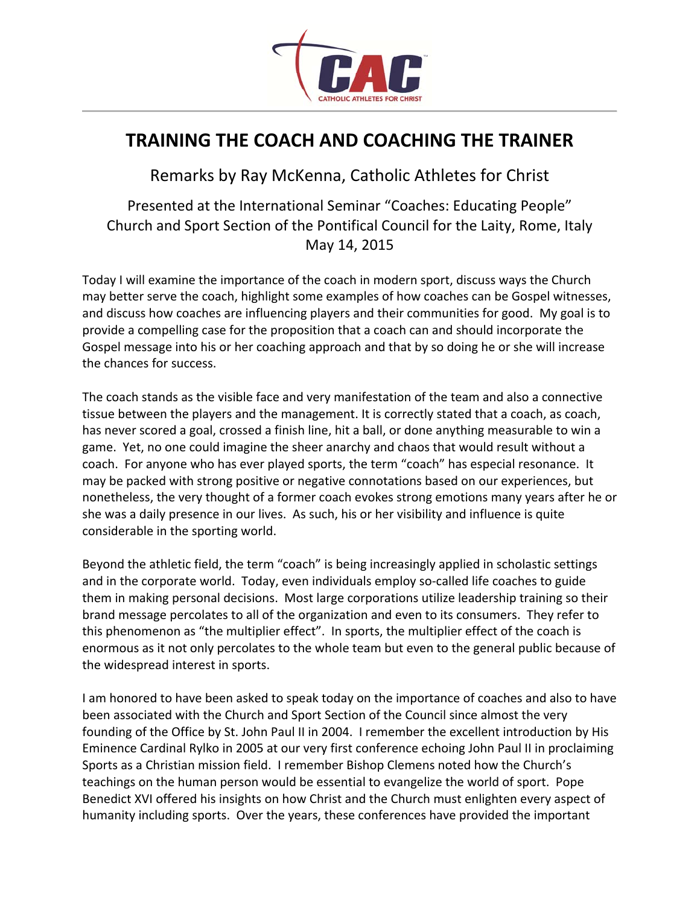

## **TRAINING THE COACH AND COACHING THE TRAINER**

Remarks by Ray McKenna, Catholic Athletes for Christ

Presented at the International Seminar "Coaches: Educating People" Church and Sport Section of the Pontifical Council for the Laity, Rome, Italy May 14, 2015

Today I will examine the importance of the coach in modern sport, discuss ways the Church may better serve the coach, highlight some examples of how coaches can be Gospel witnesses, and discuss how coaches are influencing players and their communities for good. My goal is to provide a compelling case for the proposition that a coach can and should incorporate the Gospel message into his or her coaching approach and that by so doing he or she will increase the chances for success.

The coach stands as the visible face and very manifestation of the team and also a connective tissue between the players and the management. It is correctly stated that a coach, as coach, has never scored a goal, crossed a finish line, hit a ball, or done anything measurable to win a game. Yet, no one could imagine the sheer anarchy and chaos that would result without a coach. For anyone who has ever played sports, the term "coach" has especial resonance. It may be packed with strong positive or negative connotations based on our experiences, but nonetheless, the very thought of a former coach evokes strong emotions many years after he or she was a daily presence in our lives. As such, his or her visibility and influence is quite considerable in the sporting world.

Beyond the athletic field, the term "coach" is being increasingly applied in scholastic settings and in the corporate world. Today, even individuals employ so-called life coaches to guide them in making personal decisions. Most large corporations utilize leadership training so their brand message percolates to all of the organization and even to its consumers. They refer to this phenomenon as "the multiplier effect". In sports, the multiplier effect of the coach is enormous as it not only percolates to the whole team but even to the general public because of the widespread interest in sports.

I am honored to have been asked to speak today on the importance of coaches and also to have been associated with the Church and Sport Section of the Council since almost the very founding of the Office by St. John Paul II in 2004. I remember the excellent introduction by His Eminence Cardinal Rylko in 2005 at our very first conference echoing John Paul II in proclaiming Sports as a Christian mission field. I remember Bishop Clemens noted how the Church's teachings on the human person would be essential to evangelize the world of sport. Pope Benedict XVI offered his insights on how Christ and the Church must enlighten every aspect of humanity including sports. Over the years, these conferences have provided the important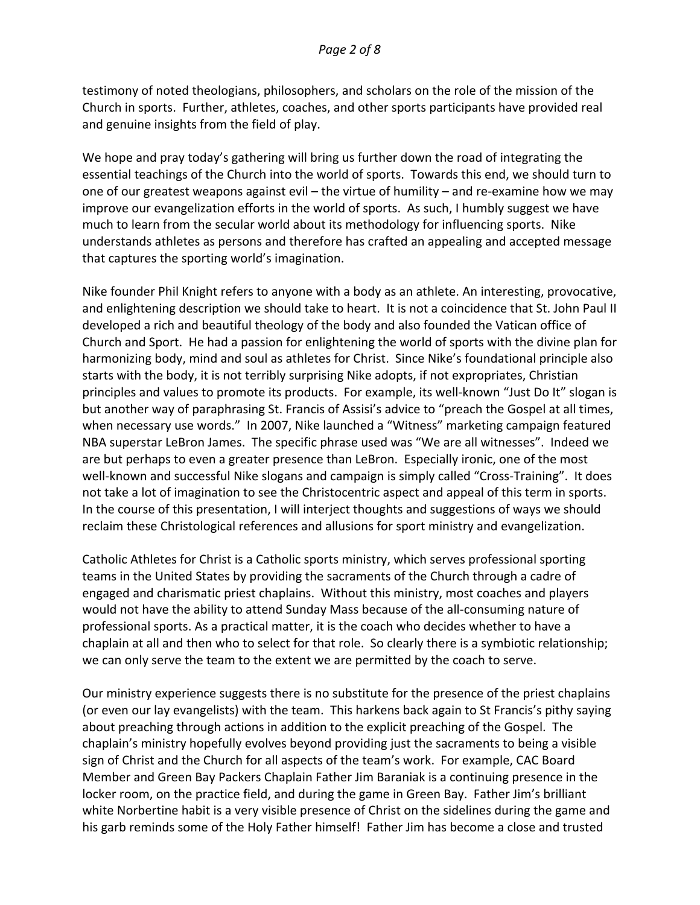testimony of noted theologians, philosophers, and scholars on the role of the mission of the Church in sports. Further, athletes, coaches, and other sports participants have provided real and genuine insights from the field of play.

We hope and pray today's gathering will bring us further down the road of integrating the essential teachings of the Church into the world of sports. Towards this end, we should turn to one of our greatest weapons against evil – the virtue of humility – and re-examine how we may improve our evangelization efforts in the world of sports. As such, I humbly suggest we have much to learn from the secular world about its methodology for influencing sports. Nike understands athletes as persons and therefore has crafted an appealing and accepted message that captures the sporting world's imagination.

Nike founder Phil Knight refers to anyone with a body as an athlete. An interesting, provocative, and enlightening description we should take to heart. It is not a coincidence that St. John Paul II developed a rich and beautiful theology of the body and also founded the Vatican office of Church and Sport. He had a passion for enlightening the world of sports with the divine plan for harmonizing body, mind and soul as athletes for Christ. Since Nike's foundational principle also starts with the body, it is not terribly surprising Nike adopts, if not expropriates, Christian principles and values to promote its products. For example, its well-known "Just Do It" slogan is but another way of paraphrasing St. Francis of Assisi's advice to "preach the Gospel at all times, when necessary use words." In 2007, Nike launched a "Witness" marketing campaign featured NBA superstar LeBron James. The specific phrase used was "We are all witnesses". Indeed we are but perhaps to even a greater presence than LeBron. Especially ironic, one of the most well-known and successful Nike slogans and campaign is simply called "Cross-Training". It does not take a lot of imagination to see the Christocentric aspect and appeal of this term in sports. In the course of this presentation, I will interject thoughts and suggestions of ways we should reclaim these Christological references and allusions for sport ministry and evangelization.

Catholic Athletes for Christ is a Catholic sports ministry, which serves professional sporting teams in the United States by providing the sacraments of the Church through a cadre of engaged and charismatic priest chaplains. Without this ministry, most coaches and players would not have the ability to attend Sunday Mass because of the all-consuming nature of professional sports. As a practical matter, it is the coach who decides whether to have a chaplain at all and then who to select for that role. So clearly there is a symbiotic relationship; we can only serve the team to the extent we are permitted by the coach to serve.

Our ministry experience suggests there is no substitute for the presence of the priest chaplains (or even our lay evangelists) with the team. This harkens back again to St Francis's pithy saying about preaching through actions in addition to the explicit preaching of the Gospel. The chaplain's ministry hopefully evolves beyond providing just the sacraments to being a visible sign of Christ and the Church for all aspects of the team's work. For example, CAC Board Member and Green Bay Packers Chaplain Father Jim Baraniak is a continuing presence in the locker room, on the practice field, and during the game in Green Bay. Father Jim's brilliant white Norbertine habit is a very visible presence of Christ on the sidelines during the game and his garb reminds some of the Holy Father himself! Father Jim has become a close and trusted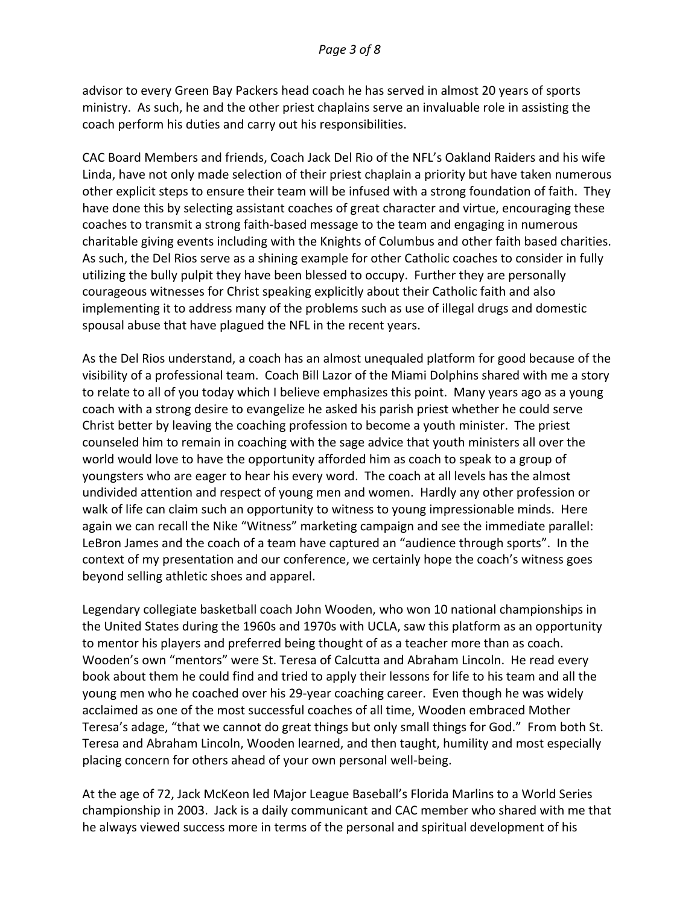advisor to every Green Bay Packers head coach he has served in almost 20 years of sports ministry. As such, he and the other priest chaplains serve an invaluable role in assisting the coach perform his duties and carry out his responsibilities.

CAC Board Members and friends, Coach Jack Del Rio of the NFL's Oakland Raiders and his wife Linda, have not only made selection of their priest chaplain a priority but have taken numerous other explicit steps to ensure their team will be infused with a strong foundation of faith. They have done this by selecting assistant coaches of great character and virtue, encouraging these coaches to transmit a strong faith-based message to the team and engaging in numerous charitable giving events including with the Knights of Columbus and other faith based charities. As such, the Del Rios serve as a shining example for other Catholic coaches to consider in fully utilizing the bully pulpit they have been blessed to occupy. Further they are personally courageous witnesses for Christ speaking explicitly about their Catholic faith and also implementing it to address many of the problems such as use of illegal drugs and domestic spousal abuse that have plagued the NFL in the recent years.

As the Del Rios understand, a coach has an almost unequaled platform for good because of the visibility of a professional team. Coach Bill Lazor of the Miami Dolphins shared with me a story to relate to all of you today which I believe emphasizes this point. Many years ago as a young coach with a strong desire to evangelize he asked his parish priest whether he could serve Christ better by leaving the coaching profession to become a youth minister. The priest counseled him to remain in coaching with the sage advice that youth ministers all over the world would love to have the opportunity afforded him as coach to speak to a group of youngsters who are eager to hear his every word. The coach at all levels has the almost undivided attention and respect of young men and women. Hardly any other profession or walk of life can claim such an opportunity to witness to young impressionable minds. Here again we can recall the Nike "Witness" marketing campaign and see the immediate parallel: LeBron James and the coach of a team have captured an "audience through sports". In the context of my presentation and our conference, we certainly hope the coach's witness goes beyond selling athletic shoes and apparel.

Legendary collegiate basketball coach John Wooden, who won 10 national championships in the United States during the 1960s and 1970s with UCLA, saw this platform as an opportunity to mentor his players and preferred being thought of as a teacher more than as coach. Wooden's own "mentors" were St. Teresa of Calcutta and Abraham Lincoln. He read every book about them he could find and tried to apply their lessons for life to his team and all the young men who he coached over his 29-year coaching career. Even though he was widely acclaimed as one of the most successful coaches of all time, Wooden embraced Mother Teresa's adage, "that we cannot do great things but only small things for God." From both St. Teresa and Abraham Lincoln, Wooden learned, and then taught, humility and most especially placing concern for others ahead of your own personal well-being.

At the age of 72, Jack McKeon led Major League Baseball's Florida Marlins to a World Series championship in 2003. Jack is a daily communicant and CAC member who shared with me that he always viewed success more in terms of the personal and spiritual development of his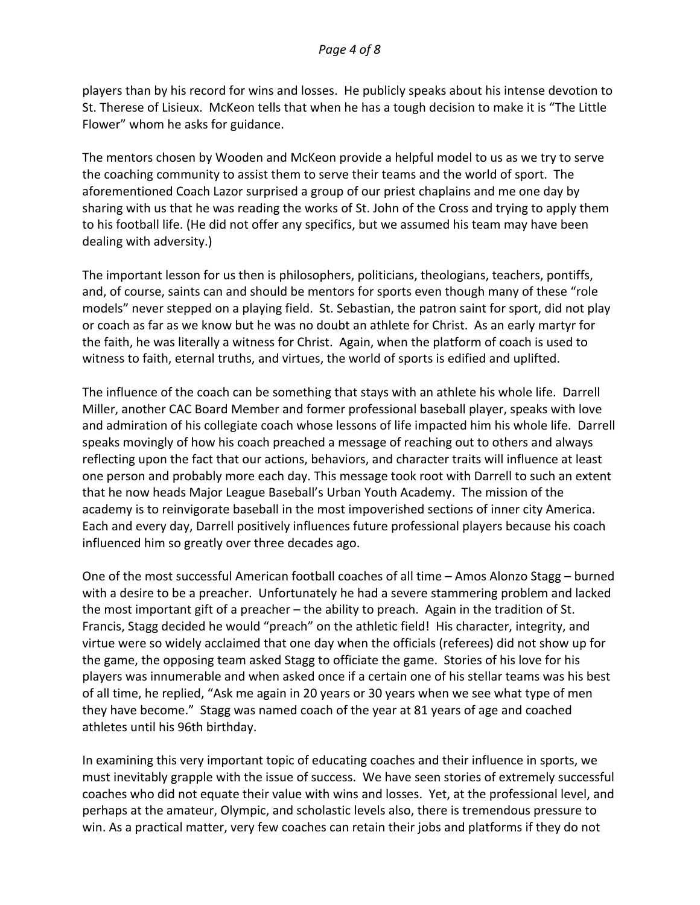players than by his record for wins and losses. He publicly speaks about his intense devotion to St. Therese of Lisieux. McKeon tells that when he has a tough decision to make it is "The Little Flower" whom he asks for guidance.

The mentors chosen by Wooden and McKeon provide a helpful model to us as we try to serve the coaching community to assist them to serve their teams and the world of sport. The aforementioned Coach Lazor surprised a group of our priest chaplains and me one day by sharing with us that he was reading the works of St. John of the Cross and trying to apply them to his football life. (He did not offer any specifics, but we assumed his team may have been dealing with adversity.)

The important lesson for us then is philosophers, politicians, theologians, teachers, pontiffs, and, of course, saints can and should be mentors for sports even though many of these "role models" never stepped on a playing field. St. Sebastian, the patron saint for sport, did not play or coach as far as we know but he was no doubt an athlete for Christ. As an early martyr for the faith, he was literally a witness for Christ. Again, when the platform of coach is used to witness to faith, eternal truths, and virtues, the world of sports is edified and uplifted.

The influence of the coach can be something that stays with an athlete his whole life. Darrell Miller, another CAC Board Member and former professional baseball player, speaks with love and admiration of his collegiate coach whose lessons of life impacted him his whole life. Darrell speaks movingly of how his coach preached a message of reaching out to others and always reflecting upon the fact that our actions, behaviors, and character traits will influence at least one person and probably more each day. This message took root with Darrell to such an extent that he now heads Major League Baseball's Urban Youth Academy. The mission of the academy is to reinvigorate baseball in the most impoverished sections of inner city America. Each and every day, Darrell positively influences future professional players because his coach influenced him so greatly over three decades ago.

One of the most successful American football coaches of all time – Amos Alonzo Stagg – burned with a desire to be a preacher. Unfortunately he had a severe stammering problem and lacked the most important gift of a preacher – the ability to preach. Again in the tradition of St. Francis, Stagg decided he would "preach" on the athletic field! His character, integrity, and virtue were so widely acclaimed that one day when the officials (referees) did not show up for the game, the opposing team asked Stagg to officiate the game. Stories of his love for his players was innumerable and when asked once if a certain one of his stellar teams was his best of all time, he replied, "Ask me again in 20 years or 30 years when we see what type of men they have become." Stagg was named coach of the year at 81 years of age and coached athletes until his 96th birthday.

In examining this very important topic of educating coaches and their influence in sports, we must inevitably grapple with the issue of success. We have seen stories of extremely successful coaches who did not equate their value with wins and losses. Yet, at the professional level, and perhaps at the amateur, Olympic, and scholastic levels also, there is tremendous pressure to win. As a practical matter, very few coaches can retain their jobs and platforms if they do not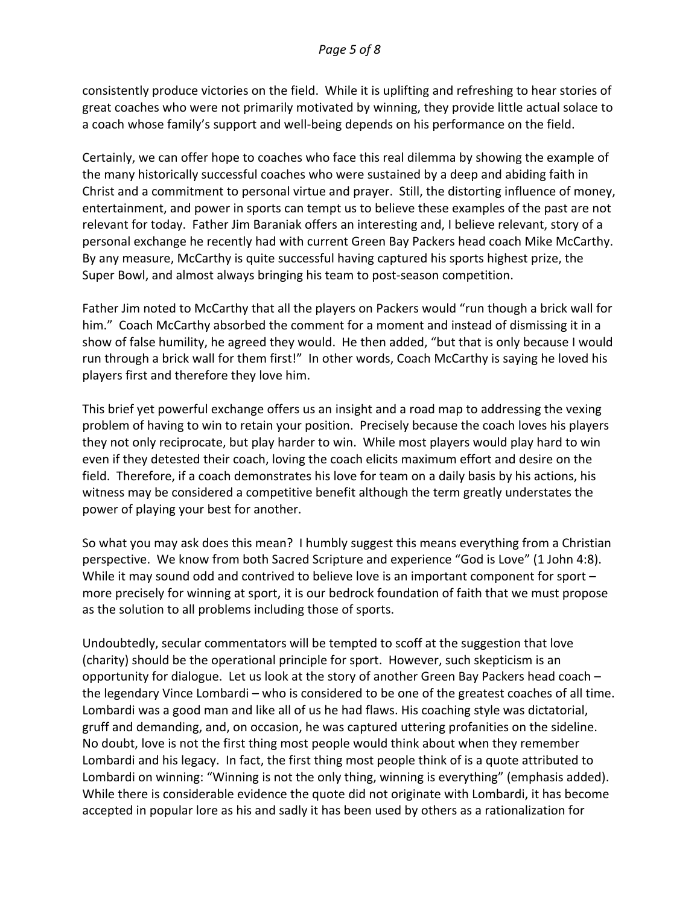consistently produce victories on the field. While it is uplifting and refreshing to hear stories of great coaches who were not primarily motivated by winning, they provide little actual solace to a coach whose family's support and well-being depends on his performance on the field.

Certainly, we can offer hope to coaches who face this real dilemma by showing the example of the many historically successful coaches who were sustained by a deep and abiding faith in Christ and a commitment to personal virtue and prayer. Still, the distorting influence of money, entertainment, and power in sports can tempt us to believe these examples of the past are not relevant for today. Father Jim Baraniak offers an interesting and, I believe relevant, story of a personal exchange he recently had with current Green Bay Packers head coach Mike McCarthy. By any measure, McCarthy is quite successful having captured his sports highest prize, the Super Bowl, and almost always bringing his team to post-season competition.

Father Jim noted to McCarthy that all the players on Packers would "run though a brick wall for him." Coach McCarthy absorbed the comment for a moment and instead of dismissing it in a show of false humility, he agreed they would. He then added, "but that is only because I would run through a brick wall for them first!" In other words, Coach McCarthy is saying he loved his players first and therefore they love him.

This brief yet powerful exchange offers us an insight and a road map to addressing the vexing problem of having to win to retain your position. Precisely because the coach loves his players they not only reciprocate, but play harder to win. While most players would play hard to win even if they detested their coach, loving the coach elicits maximum effort and desire on the field. Therefore, if a coach demonstrates his love for team on a daily basis by his actions, his witness may be considered a competitive benefit although the term greatly understates the power of playing your best for another.

So what you may ask does this mean? I humbly suggest this means everything from a Christian perspective. We know from both Sacred Scripture and experience "God is Love" (1 John 4:8). While it may sound odd and contrived to believe love is an important component for sport – more precisely for winning at sport, it is our bedrock foundation of faith that we must propose as the solution to all problems including those of sports.

Undoubtedly, secular commentators will be tempted to scoff at the suggestion that love (charity) should be the operational principle for sport. However, such skepticism is an opportunity for dialogue. Let us look at the story of another Green Bay Packers head coach – the legendary Vince Lombardi – who is considered to be one of the greatest coaches of all time. Lombardi was a good man and like all of us he had flaws. His coaching style was dictatorial, gruff and demanding, and, on occasion, he was captured uttering profanities on the sideline. No doubt, love is not the first thing most people would think about when they remember Lombardi and his legacy. In fact, the first thing most people think of is a quote attributed to Lombardi on winning: "Winning is not the only thing, winning is everything" (emphasis added). While there is considerable evidence the quote did not originate with Lombardi, it has become accepted in popular lore as his and sadly it has been used by others as a rationalization for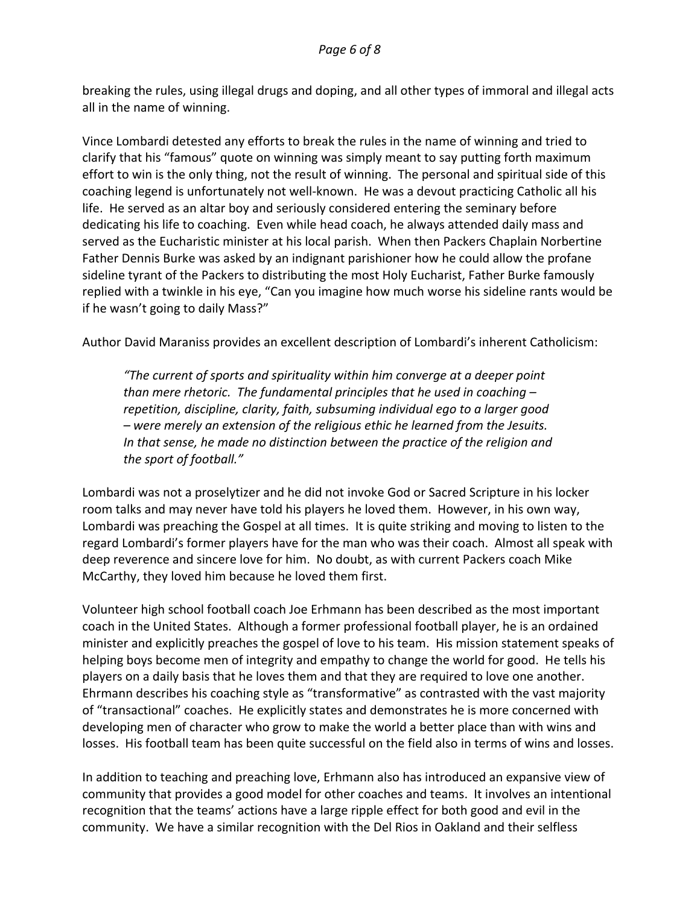breaking the rules, using illegal drugs and doping, and all other types of immoral and illegal acts all in the name of winning.

Vince Lombardi detested any efforts to break the rules in the name of winning and tried to clarify that his "famous" quote on winning was simply meant to say putting forth maximum effort to win is the only thing, not the result of winning. The personal and spiritual side of this coaching legend is unfortunately not well-known. He was a devout practicing Catholic all his life. He served as an altar boy and seriously considered entering the seminary before dedicating his life to coaching. Even while head coach, he always attended daily mass and served as the Eucharistic minister at his local parish. When then Packers Chaplain Norbertine Father Dennis Burke was asked by an indignant parishioner how he could allow the profane sideline tyrant of the Packers to distributing the most Holy Eucharist, Father Burke famously replied with a twinkle in his eye, "Can you imagine how much worse his sideline rants would be if he wasn't going to daily Mass?"

Author David Maraniss provides an excellent description of Lombardi's inherent Catholicism:

*"The current of sports and spirituality within him converge at a deeper point than mere rhetoric. The fundamental principles that he used in coaching – repetition, discipline, clarity, faith, subsuming individual ego to a larger good – were merely an extension of the religious ethic he learned from the Jesuits. In that sense, he made no distinction between the practice of the religion and the sport of football."* 

Lombardi was not a proselytizer and he did not invoke God or Sacred Scripture in his locker room talks and may never have told his players he loved them. However, in his own way, Lombardi was preaching the Gospel at all times. It is quite striking and moving to listen to the regard Lombardi's former players have for the man who was their coach. Almost all speak with deep reverence and sincere love for him. No doubt, as with current Packers coach Mike McCarthy, they loved him because he loved them first.

Volunteer high school football coach Joe Erhmann has been described as the most important coach in the United States. Although a former professional football player, he is an ordained minister and explicitly preaches the gospel of love to his team. His mission statement speaks of helping boys become men of integrity and empathy to change the world for good. He tells his players on a daily basis that he loves them and that they are required to love one another. Ehrmann describes his coaching style as "transformative" as contrasted with the vast majority of "transactional" coaches. He explicitly states and demonstrates he is more concerned with developing men of character who grow to make the world a better place than with wins and losses. His football team has been quite successful on the field also in terms of wins and losses.

In addition to teaching and preaching love, Erhmann also has introduced an expansive view of community that provides a good model for other coaches and teams. It involves an intentional recognition that the teams' actions have a large ripple effect for both good and evil in the community. We have a similar recognition with the Del Rios in Oakland and their selfless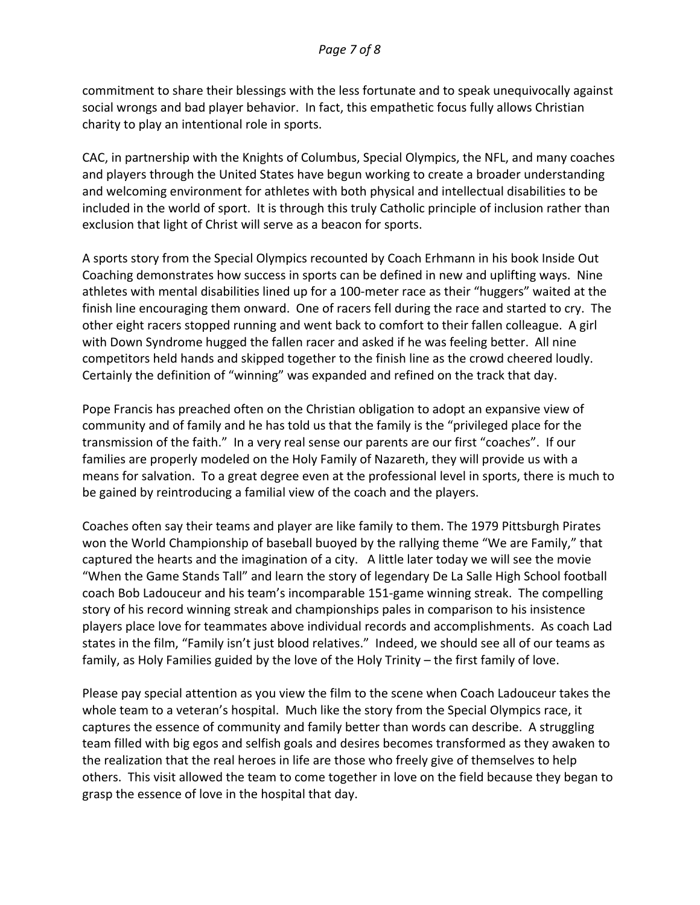commitment to share their blessings with the less fortunate and to speak unequivocally against social wrongs and bad player behavior. In fact, this empathetic focus fully allows Christian charity to play an intentional role in sports.

CAC, in partnership with the Knights of Columbus, Special Olympics, the NFL, and many coaches and players through the United States have begun working to create a broader understanding and welcoming environment for athletes with both physical and intellectual disabilities to be included in the world of sport. It is through this truly Catholic principle of inclusion rather than exclusion that light of Christ will serve as a beacon for sports.

A sports story from the Special Olympics recounted by Coach Erhmann in his book Inside Out Coaching demonstrates how success in sports can be defined in new and uplifting ways. Nine athletes with mental disabilities lined up for a 100-meter race as their "huggers" waited at the finish line encouraging them onward. One of racers fell during the race and started to cry. The other eight racers stopped running and went back to comfort to their fallen colleague. A girl with Down Syndrome hugged the fallen racer and asked if he was feeling better. All nine competitors held hands and skipped together to the finish line as the crowd cheered loudly. Certainly the definition of "winning" was expanded and refined on the track that day.

Pope Francis has preached often on the Christian obligation to adopt an expansive view of community and of family and he has told us that the family is the "privileged place for the transmission of the faith." In a very real sense our parents are our first "coaches". If our families are properly modeled on the Holy Family of Nazareth, they will provide us with a means for salvation. To a great degree even at the professional level in sports, there is much to be gained by reintroducing a familial view of the coach and the players.

Coaches often say their teams and player are like family to them. The 1979 Pittsburgh Pirates won the World Championship of baseball buoyed by the rallying theme "We are Family," that captured the hearts and the imagination of a city. A little later today we will see the movie "When the Game Stands Tall" and learn the story of legendary De La Salle High School football coach Bob Ladouceur and his team's incomparable 151-game winning streak. The compelling story of his record winning streak and championships pales in comparison to his insistence players place love for teammates above individual records and accomplishments. As coach Lad states in the film, "Family isn't just blood relatives." Indeed, we should see all of our teams as family, as Holy Families guided by the love of the Holy Trinity – the first family of love.

Please pay special attention as you view the film to the scene when Coach Ladouceur takes the whole team to a veteran's hospital. Much like the story from the Special Olympics race, it captures the essence of community and family better than words can describe. A struggling team filled with big egos and selfish goals and desires becomes transformed as they awaken to the realization that the real heroes in life are those who freely give of themselves to help others. This visit allowed the team to come together in love on the field because they began to grasp the essence of love in the hospital that day.